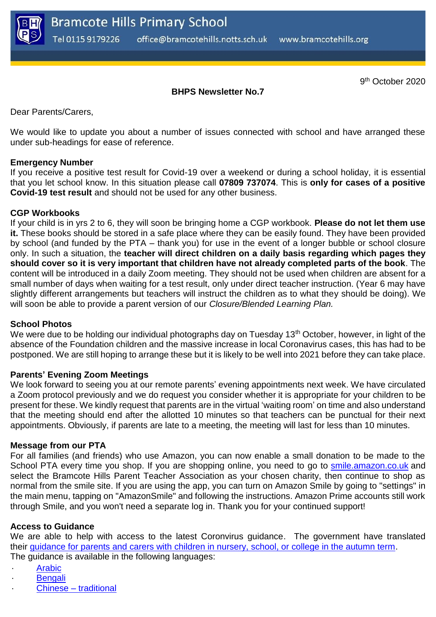

9<sup>th</sup> October 2020

# **BHPS Newsletter No.7**

Dear Parents/Carers,

We would like to update you about a number of issues connected with school and have arranged these under sub-headings for ease of reference.

### **Emergency Number**

If you receive a positive test result for Covid-19 over a weekend or during a school holiday, it is essential that you let school know. In this situation please call **07809 737074**. This is **only for cases of a positive Covid-19 test result** and should not be used for any other business.

### **CGP Workbooks**

If your child is in yrs 2 to 6, they will soon be bringing home a CGP workbook. **Please do not let them use it.** These books should be stored in a safe place where they can be easily found. They have been provided by school (and funded by the PTA – thank you) for use in the event of a longer bubble or school closure only. In such a situation, the **teacher will direct children on a daily basis regarding which pages they should cover so it is very important that children have not already completed parts of the book**. The content will be introduced in a daily Zoom meeting. They should not be used when children are absent for a small number of days when waiting for a test result, only under direct teacher instruction. (Year 6 may have slightly different arrangements but teachers will instruct the children as to what they should be doing). We will soon be able to provide a parent version of our *Closure/Blended Learning Plan.*

#### **School Photos**

We were due to be holding our individual photographs day on Tuesday 13<sup>th</sup> October, however, in light of the absence of the Foundation children and the massive increase in local Coronavirus cases, this has had to be postponed. We are still hoping to arrange these but it is likely to be well into 2021 before they can take place.

#### **Parents' Evening Zoom Meetings**

We look forward to seeing you at our remote parents' evening appointments next week. We have circulated a Zoom protocol previously and we do request you consider whether it is appropriate for your children to be present for these. We kindly request that parents are in the virtual 'waiting room' on time and also understand that the meeting should end after the allotted 10 minutes so that teachers can be punctual for their next appointments. Obviously, if parents are late to a meeting, the meeting will last for less than 10 minutes.

#### **Message from our PTA**

For all families (and friends) who use Amazon, you can now enable a small donation to be made to the School PTA every time you shop. If you are shopping online, you need to go to [smile.amazon.co.uk](http://smile.amazon.co.uk/) and select the Bramcote Hills Parent Teacher Association as your chosen charity, then continue to shop as normal from the smile site. If you are using the app, you can turn on Amazon Smile by going to "settings" in the main menu, tapping on "AmazonSmile" and following the instructions. Amazon Prime accounts still work through Smile, and you won't need a separate log in. Thank you for your continued support!

## **Access to Guidance**

We are able to help with access to the latest Coronvirus guidance. The government have translated their [guidance for parents and carers with children in nursery, school, or college in the autumn term.](https://www.gov.uk/government/publications/what-parents-and-carers-need-to-know-about-early-years-providers-schools-and-colleges-during-the-coronavirus-covid-19-outbreak?utm_source=1%20October%202020%20C19&utm_medium=Daily%20Email%20C19&utm_campaign=DfE%20C19) The guidance is available in the following languages:

- **[Arabic](https://assets.publishing.service.gov.uk/government/uploads/system/uploads/attachment_data/file/918367/Guidanceforparents_CLEAN_3.9.20-arabicdocx.pdf)**
- **[Bengali](https://assets.publishing.service.gov.uk/government/uploads/system/uploads/attachment_data/file/918368/Guidanceforparents_CLEAN_3.9.20-ben-BD.pdf)**
- Chinese traditional